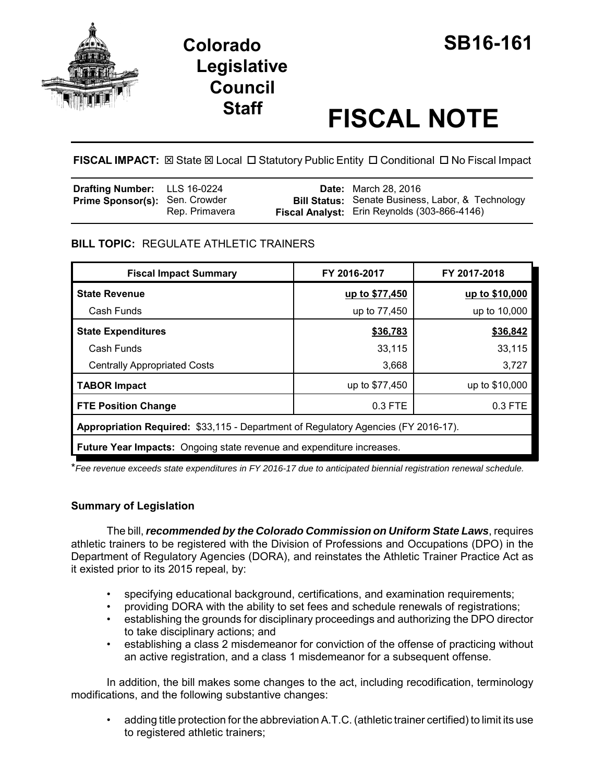



# **Staff FISCAL NOTE**

**FISCAL IMPACT:** ⊠ State ⊠ Local □ Statutory Public Entity □ Conditional □ No Fiscal Impact

| <b>Drafting Number:</b> LLS 16-0224   |                | <b>Date:</b> March 28, 2016                                                                              |
|---------------------------------------|----------------|----------------------------------------------------------------------------------------------------------|
| <b>Prime Sponsor(s): Sen. Crowder</b> | Rep. Primavera | <b>Bill Status:</b> Senate Business, Labor, & Technology<br>Fiscal Analyst: Erin Reynolds (303-866-4146) |

# **BILL TOPIC:** REGULATE ATHLETIC TRAINERS

| <b>Fiscal Impact Summary</b>                                                       | FY 2016-2017   | FY 2017-2018   |  |  |
|------------------------------------------------------------------------------------|----------------|----------------|--|--|
| <b>State Revenue</b>                                                               | up to \$77,450 | up to \$10,000 |  |  |
| Cash Funds                                                                         | up to 77,450   | up to 10,000   |  |  |
| <b>State Expenditures</b>                                                          | \$36,783       | \$36,842       |  |  |
| Cash Funds                                                                         | 33,115         | 33,115         |  |  |
| <b>Centrally Appropriated Costs</b>                                                | 3,668          | 3,727          |  |  |
| <b>TABOR Impact</b>                                                                | up to \$77,450 | up to \$10,000 |  |  |
| <b>FTE Position Change</b>                                                         | $0.3$ FTE      | $0.3$ FTE      |  |  |
| Appropriation Required: \$33,115 - Department of Regulatory Agencies (FY 2016-17). |                |                |  |  |
| <b>Future Year Impacts:</b> Ongoing state revenue and expenditure increases.       |                |                |  |  |

\**Fee revenue exceeds state expenditures in FY 2016-17 due to anticipated biennial registration renewal schedule.*

# **Summary of Legislation**

The bill, *recommended by the Colorado Commission on Uniform State Laws*, requires athletic trainers to be registered with the Division of Professions and Occupations (DPO) in the Department of Regulatory Agencies (DORA), and reinstates the Athletic Trainer Practice Act as it existed prior to its 2015 repeal, by:

- specifying educational background, certifications, and examination requirements;
- providing DORA with the ability to set fees and schedule renewals of registrations;
- establishing the grounds for disciplinary proceedings and authorizing the DPO director to take disciplinary actions; and
- establishing a class 2 misdemeanor for conviction of the offense of practicing without an active registration, and a class 1 misdemeanor for a subsequent offense.

In addition, the bill makes some changes to the act, including recodification, terminology modifications, and the following substantive changes:

• adding title protection for the abbreviation A.T.C. (athletic trainer certified) to limit its use to registered athletic trainers;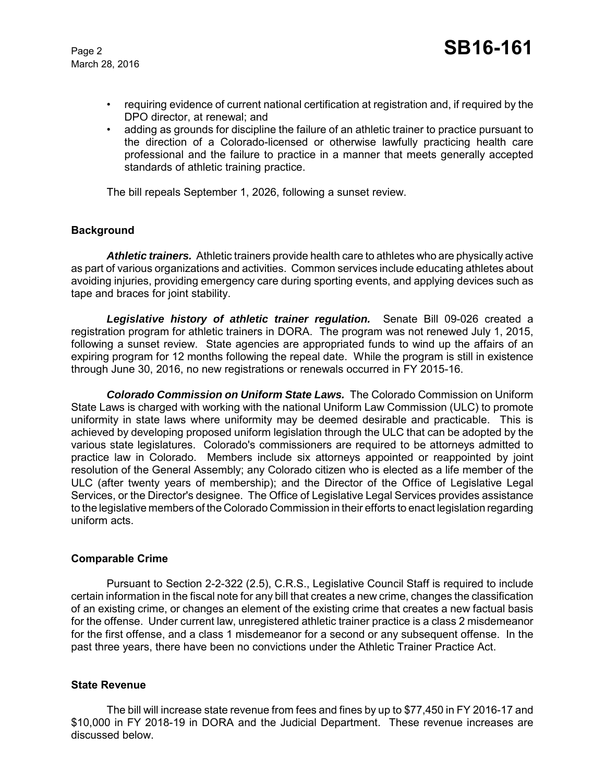March 28, 2016

- requiring evidence of current national certification at registration and, if required by the DPO director, at renewal; and
- adding as grounds for discipline the failure of an athletic trainer to practice pursuant to the direction of a Colorado-licensed or otherwise lawfully practicing health care professional and the failure to practice in a manner that meets generally accepted standards of athletic training practice.

The bill repeals September 1, 2026, following a sunset review.

#### **Background**

*Athletic trainers.* Athletic trainers provide health care to athletes who are physically active as part of various organizations and activities. Common services include educating athletes about avoiding injuries, providing emergency care during sporting events, and applying devices such as tape and braces for joint stability.

*Legislative history of athletic trainer regulation.* Senate Bill 09-026 created a registration program for athletic trainers in DORA. The program was not renewed July 1, 2015, following a sunset review. State agencies are appropriated funds to wind up the affairs of an expiring program for 12 months following the repeal date. While the program is still in existence through June 30, 2016, no new registrations or renewals occurred in FY 2015-16.

*Colorado Commission on Uniform State Laws.* The Colorado Commission on Uniform State Laws is charged with working with the national Uniform Law Commission (ULC) to promote uniformity in state laws where uniformity may be deemed desirable and practicable. This is achieved by developing proposed uniform legislation through the ULC that can be adopted by the various state legislatures. Colorado's commissioners are required to be attorneys admitted to practice law in Colorado. Members include six attorneys appointed or reappointed by joint resolution of the General Assembly; any Colorado citizen who is elected as a life member of the ULC (after twenty years of membership); and the Director of the Office of Legislative Legal Services, or the Director's designee. The Office of Legislative Legal Services provides assistance to the legislative members of the Colorado Commission in their efforts to enact legislation regarding uniform acts.

#### **Comparable Crime**

Pursuant to Section 2-2-322 (2.5), C.R.S., Legislative Council Staff is required to include certain information in the fiscal note for any bill that creates a new crime, changes the classification of an existing crime, or changes an element of the existing crime that creates a new factual basis for the offense. Under current law, unregistered athletic trainer practice is a class 2 misdemeanor for the first offense, and a class 1 misdemeanor for a second or any subsequent offense. In the past three years, there have been no convictions under the Athletic Trainer Practice Act.

#### **State Revenue**

The bill will increase state revenue from fees and fines by up to \$77,450 in FY 2016-17 and \$10,000 in FY 2018-19 in DORA and the Judicial Department. These revenue increases are discussed below.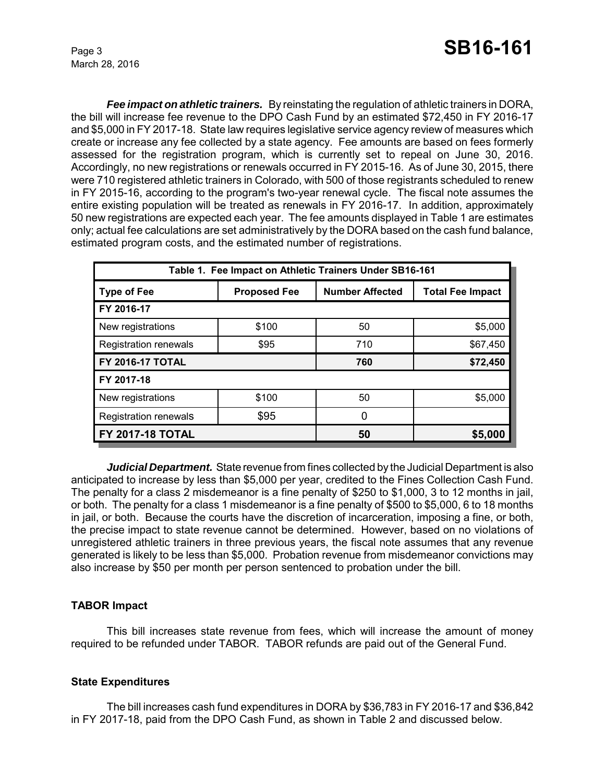*Fee impact on athletic trainers.* By reinstating the regulation of athletic trainers in DORA, the bill will increase fee revenue to the DPO Cash Fund by an estimated \$72,450 in FY 2016-17 and \$5,000 in FY 2017-18. State law requires legislative service agency review of measures which create or increase any fee collected by a state agency. Fee amounts are based on fees formerly assessed for the registration program, which is currently set to repeal on June 30, 2016. Accordingly, no new registrations or renewals occurred in FY 2015-16. As of June 30, 2015, there were 710 registered athletic trainers in Colorado, with 500 of those registrants scheduled to renew in FY 2015-16, according to the program's two-year renewal cycle. The fiscal note assumes the entire existing population will be treated as renewals in FY 2016-17. In addition, approximately 50 new registrations are expected each year. The fee amounts displayed in Table 1 are estimates only; actual fee calculations are set administratively by the DORA based on the cash fund balance, estimated program costs, and the estimated number of registrations.

| Table 1. Fee Impact on Athletic Trainers Under SB16-161 |                     |                        |                         |  |  |  |
|---------------------------------------------------------|---------------------|------------------------|-------------------------|--|--|--|
| <b>Type of Fee</b>                                      | <b>Proposed Fee</b> | <b>Number Affected</b> | <b>Total Fee Impact</b> |  |  |  |
| FY 2016-17                                              |                     |                        |                         |  |  |  |
| New registrations                                       | \$100               | 50                     | \$5,000                 |  |  |  |
| <b>Registration renewals</b>                            | \$95                | 710                    | \$67,450                |  |  |  |
| <b>FY 2016-17 TOTAL</b>                                 |                     | 760                    | \$72,450                |  |  |  |
| FY 2017-18                                              |                     |                        |                         |  |  |  |
| New registrations                                       | \$100               | 50                     | \$5,000                 |  |  |  |
| <b>Registration renewals</b>                            | \$95                | 0                      |                         |  |  |  |
| <b>FY 2017-18 TOTAL</b>                                 |                     | 50                     | \$5,000                 |  |  |  |

*Judicial Department.* State revenue from fines collected by the Judicial Department is also anticipated to increase by less than \$5,000 per year, credited to the Fines Collection Cash Fund. The penalty for a class 2 misdemeanor is a fine penalty of \$250 to \$1,000, 3 to 12 months in jail, or both. The penalty for a class 1 misdemeanor is a fine penalty of \$500 to \$5,000, 6 to 18 months in jail, or both. Because the courts have the discretion of incarceration, imposing a fine, or both, the precise impact to state revenue cannot be determined. However, based on no violations of unregistered athletic trainers in three previous years, the fiscal note assumes that any revenue generated is likely to be less than \$5,000. Probation revenue from misdemeanor convictions may also increase by \$50 per month per person sentenced to probation under the bill.

# **TABOR Impact**

This bill increases state revenue from fees, which will increase the amount of money required to be refunded under TABOR. TABOR refunds are paid out of the General Fund.

# **State Expenditures**

The bill increases cash fund expenditures in DORA by \$36,783 in FY 2016-17 and \$36,842 in FY 2017-18, paid from the DPO Cash Fund, as shown in Table 2 and discussed below.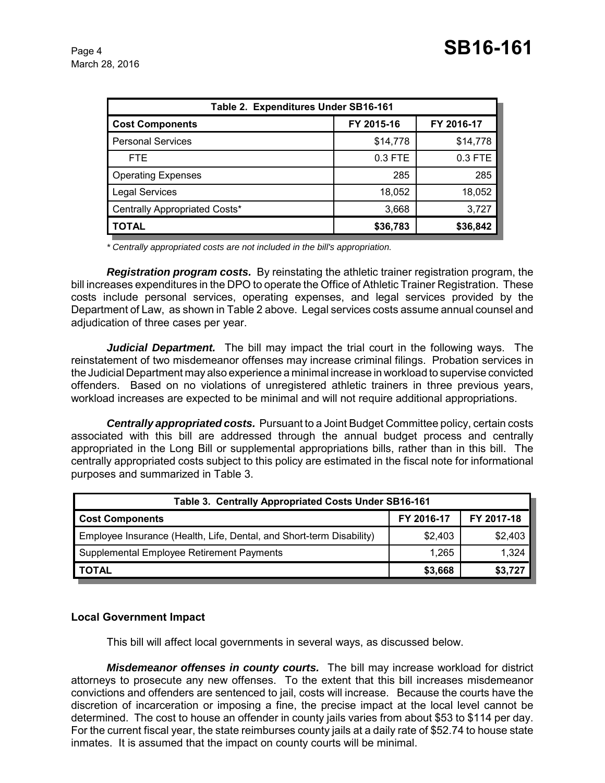March 28, 2016

| Table 2. Expenditures Under SB16-161 |            |            |  |  |  |
|--------------------------------------|------------|------------|--|--|--|
| <b>Cost Components</b>               | FY 2015-16 | FY 2016-17 |  |  |  |
| <b>Personal Services</b>             | \$14,778   | \$14,778   |  |  |  |
| <b>FTE</b>                           | $0.3$ FTE  | 0.3 FTE    |  |  |  |
| <b>Operating Expenses</b>            | 285        | 285        |  |  |  |
| <b>Legal Services</b>                | 18,052     | 18,052     |  |  |  |
| Centrally Appropriated Costs*        | 3,668      | 3,727      |  |  |  |
| <b>TOTAL</b>                         | \$36,783   | \$36,842   |  |  |  |

*\* Centrally appropriated costs are not included in the bill's appropriation.*

*Registration program costs.* By reinstating the athletic trainer registration program, the bill increases expenditures in the DPO to operate the Office of Athletic Trainer Registration. These costs include personal services, operating expenses, and legal services provided by the Department of Law, as shown in Table 2 above. Legal services costs assume annual counsel and adjudication of three cases per year.

*Judicial Department.* The bill may impact the trial court in the following ways. The reinstatement of two misdemeanor offenses may increase criminal filings. Probation services in the Judicial Department may also experience a minimal increase in workload to supervise convicted offenders. Based on no violations of unregistered athletic trainers in three previous years, workload increases are expected to be minimal and will not require additional appropriations.

*Centrally appropriated costs.* Pursuant to a Joint Budget Committee policy, certain costs associated with this bill are addressed through the annual budget process and centrally appropriated in the Long Bill or supplemental appropriations bills, rather than in this bill. The centrally appropriated costs subject to this policy are estimated in the fiscal note for informational purposes and summarized in Table 3.

| Table 3. Centrally Appropriated Costs Under SB16-161                 |            |            |  |  |  |
|----------------------------------------------------------------------|------------|------------|--|--|--|
| <b>Cost Components</b>                                               | FY 2016-17 | FY 2017-18 |  |  |  |
| Employee Insurance (Health, Life, Dental, and Short-term Disability) | \$2.403    | \$2,403    |  |  |  |
| Supplemental Employee Retirement Payments                            | 1.265      | 1,324      |  |  |  |
| <b>TOTAL</b>                                                         | \$3,668    | \$3,727    |  |  |  |

# **Local Government Impact**

This bill will affect local governments in several ways, as discussed below.

*Misdemeanor offenses in county courts.* The bill may increase workload for district attorneys to prosecute any new offenses. To the extent that this bill increases misdemeanor convictions and offenders are sentenced to jail, costs will increase. Because the courts have the discretion of incarceration or imposing a fine, the precise impact at the local level cannot be determined. The cost to house an offender in county jails varies from about \$53 to \$114 per day. For the current fiscal year, the state reimburses county jails at a daily rate of \$52.74 to house state inmates. It is assumed that the impact on county courts will be minimal.